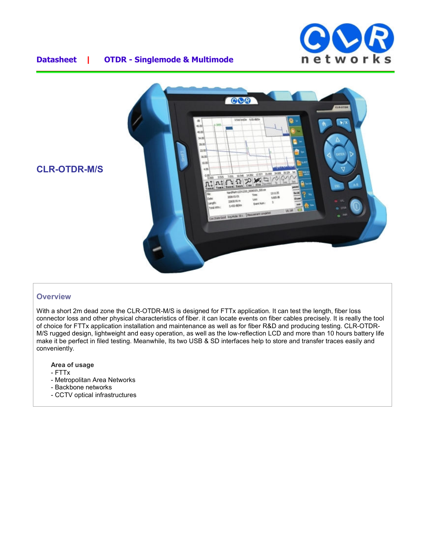



#### **Overview**

With a short 2m dead zone the CLR-OTDR-M/S is designed for FTTx application. It can test the length, fiber loss connector loss and other physical characteristics of fiber. it can locate events on fiber cables precisely. It is really the tool of choice for FTTx application installation and maintenance as well as for fiber R&D and producing testing. CLR-OTDR-M/S rugged design, lightweight and easy operation, as well as the low-reflection LCD and more than 10 hours battery life make it be perfect in filed testing. Meanwhile, Its two USB & SD interfaces help to store and transfer traces easily and conveniently.

**Area of usage**

- FTTx
- Metropolitan Area Networks
- Backbone networks
- CCTV optical infrastructures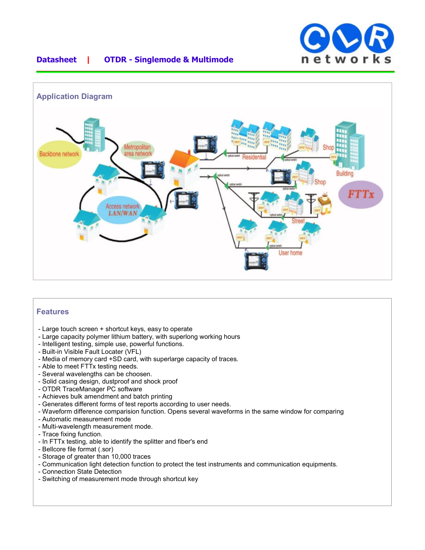



### **Features**

- Large touch screen + shortcut keys, easy to operate
- Large capacity polymer lithium battery, with superlong working hours
- Intelligent testing, simple use, powerful functions.
- Built-in Visible Fault Locater (VFL)
- Media of memory card +SD card, with superlarge capacity of traces.
- Able to meet FTTx testing needs.
- Several wavelengths can be choosen.
- Solid casing design, dustproof and shock proof
- OTDR TraceManager PC software
- Achieves bulk amendment and batch printing
- Generates different forms of test reports according to user needs.
- Waveform difference comparision function. Opens several waveforms in the same window for comparing
- Automatic measurement mode
- Multi-wavelength measurement mode.
- Trace fixing function.
- In FTTx testing, able to identify the splitter and fiber's end
- Bellcore file format (.sor)
- Storage of greater than 10,000 traces
- Communication light detection function to protect the test instruments and communication equipments.
- Connection State Detection
- Switching of measurement mode through shortcut key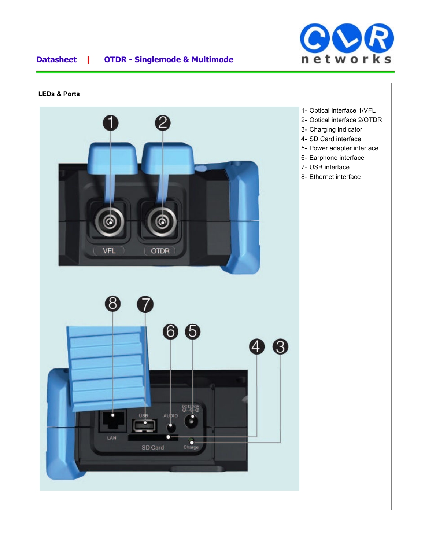